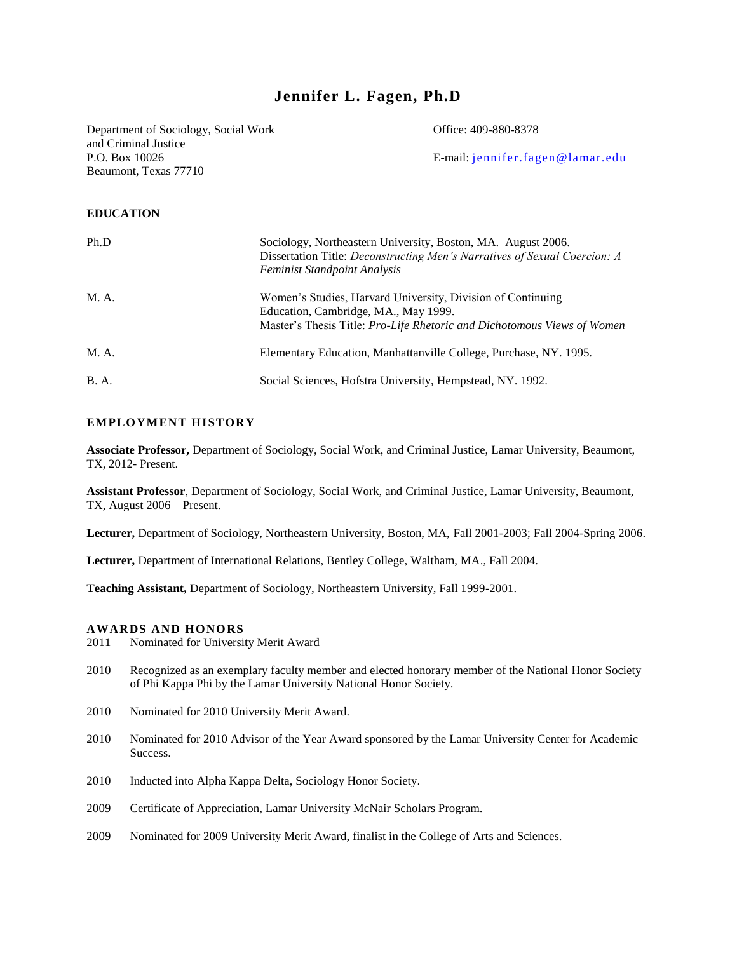# **Jennifer L. Fagen, Ph.D**

Department of Sociology, Social Work Office: 409-880-8378 and Criminal Justice Beaumont, Texas 77710

P.O. Box 10026 E-mail: [jennifer.fagen@lamar.edu](mailto:jennifer.fagen@lamar.edu)

#### **EDUCATION**

| Ph.D         | Sociology, Northeastern University, Boston, MA. August 2006.<br>Dissertation Title: Deconstructing Men's Narratives of Sexual Coercion: A<br><b>Feminist Standpoint Analysis</b>      |
|--------------|---------------------------------------------------------------------------------------------------------------------------------------------------------------------------------------|
| M. A.        | Women's Studies, Harvard University, Division of Continuing<br>Education, Cambridge, MA., May 1999.<br>Master's Thesis Title: <i>Pro-Life Rhetoric and Dichotomous Views of Women</i> |
| M. A.        | Elementary Education, Manhattanville College, Purchase, NY. 1995.                                                                                                                     |
| <b>B.</b> A. | Social Sciences, Hofstra University, Hempstead, NY. 1992.                                                                                                                             |

#### **EMPLOYMENT HISTORY**

**Associate Professor,** Department of Sociology, Social Work, and Criminal Justice, Lamar University, Beaumont, TX, 2012- Present.

**Assistant Professor**, Department of Sociology, Social Work, and Criminal Justice, Lamar University, Beaumont, TX, August 2006 – Present.

**Lecturer,** Department of Sociology, Northeastern University, Boston, MA, Fall 2001-2003; Fall 2004-Spring 2006.

**Lecturer,** Department of International Relations, Bentley College, Waltham, MA., Fall 2004.

**Teaching Assistant,** Department of Sociology, Northeastern University, Fall 1999-2001.

#### **AWARDS AND HONORS**

- 2011 Nominated for University Merit Award
- 2010 Recognized as an exemplary faculty member and elected honorary member of the National Honor Society of Phi Kappa Phi by the Lamar University National Honor Society.
- 2010 Nominated for 2010 University Merit Award.
- 2010 Nominated for 2010 Advisor of the Year Award sponsored by the Lamar University Center for Academic Success.
- 2010 Inducted into Alpha Kappa Delta, Sociology Honor Society.
- 2009 Certificate of Appreciation, Lamar University McNair Scholars Program.
- 2009 Nominated for 2009 University Merit Award, finalist in the College of Arts and Sciences.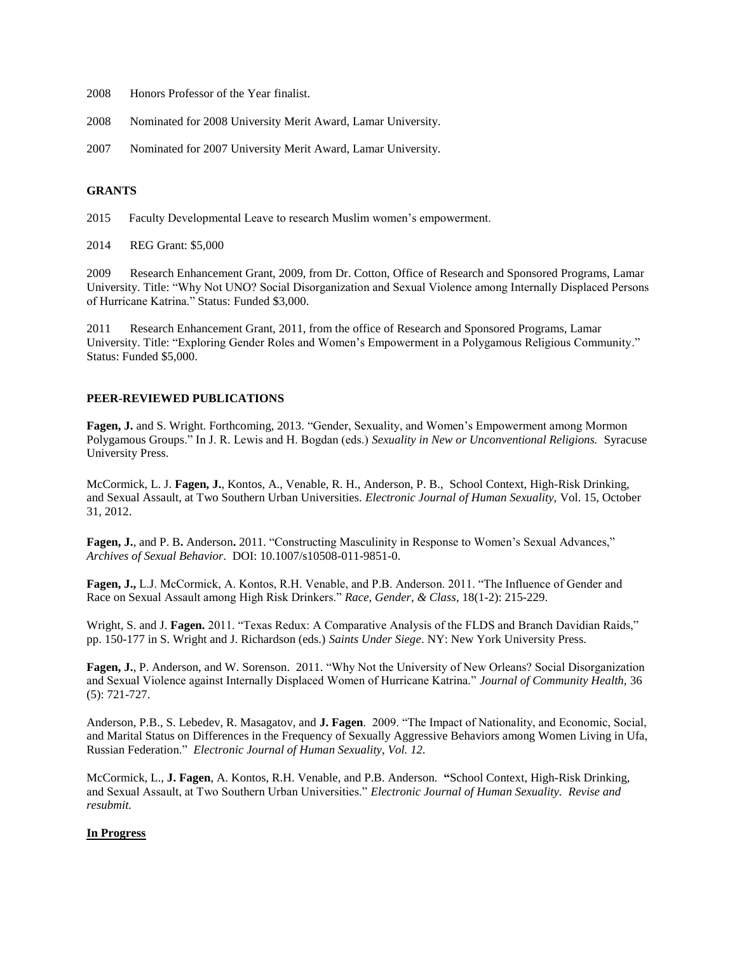- 2008 Honors Professor of the Year finalist.
- 2008 Nominated for 2008 University Merit Award, Lamar University.
- 2007 Nominated for 2007 University Merit Award, Lamar University.

#### **GRANTS**

- 2015 Faculty Developmental Leave to research Muslim women's empowerment.
- 2014 REG Grant: \$5,000

2009 Research Enhancement Grant, 2009, from Dr. Cotton, Office of Research and Sponsored Programs, Lamar University. Title: "Why Not UNO? Social Disorganization and Sexual Violence among Internally Displaced Persons of Hurricane Katrina." Status: Funded \$3,000.

2011 Research Enhancement Grant, 2011, from the office of Research and Sponsored Programs, Lamar University. Title: "Exploring Gender Roles and Women's Empowerment in a Polygamous Religious Community." Status: Funded \$5,000.

### **PEER-REVIEWED PUBLICATIONS**

**Fagen, J.** and S. Wright. Forthcoming, 2013. "Gender, Sexuality, and Women's Empowerment among Mormon Polygamous Groups." In J. R. Lewis and H. Bogdan (eds.) *Sexuality in New or Unconventional Religions.* Syracuse University Press.

McCormick, L. J. **Fagen, J.**, Kontos, A., Venable, R. H., Anderson, P. B., School Context, High-Risk Drinking, and Sexual Assault, at Two Southern Urban Universities. *Electronic Journal of Human Sexuality,* Vol. 15, October 31, 2012.

**Fagen, J.**, and P. B**.** Anderson**.** 2011. "Constructing Masculinity in Response to Women's Sexual Advances," *Archives of Sexual Behavior*. DOI: 10.1007/s10508-011-9851-0.

**Fagen, J.,** L.J. McCormick, A. Kontos, R.H. Venable, and P.B. Anderson. 2011. "The Influence of Gender and Race on Sexual Assault among High Risk Drinkers." *Race, Gender, & Class*, 18(1-2): 215-229.

Wright, S. and J. **Fagen.** 2011. "Texas Redux: A Comparative Analysis of the FLDS and Branch Davidian Raids," pp. 150-177 in S. Wright and J. Richardson (eds.) *Saints Under Siege*. NY: New York University Press.

**Fagen, J.**, P. Anderson, and W. Sorenson. 2011. "Why Not the University of New Orleans? Social Disorganization and Sexual Violence against Internally Displaced Women of Hurricane Katrina." *Journal of Community Health,* 36 (5): 721-727.

Anderson, P.B., S. Lebedev, R. Masagatov, and **J. Fagen**. 2009. "The Impact of Nationality, and Economic, Social, and Marital Status on Differences in the Frequency of Sexually Aggressive Behaviors among Women Living in Ufa, Russian Federation." *Electronic Journal of Human Sexuality, Vol. 12.*

McCormick, L., **J. Fagen**, A. Kontos, R.H. Venable, and P.B. Anderson. **"**School Context, High-Risk Drinking, and Sexual Assault, at Two Southern Urban Universities." *Electronic Journal of Human Sexuality. Revise and resubmit.*

## **In Progress**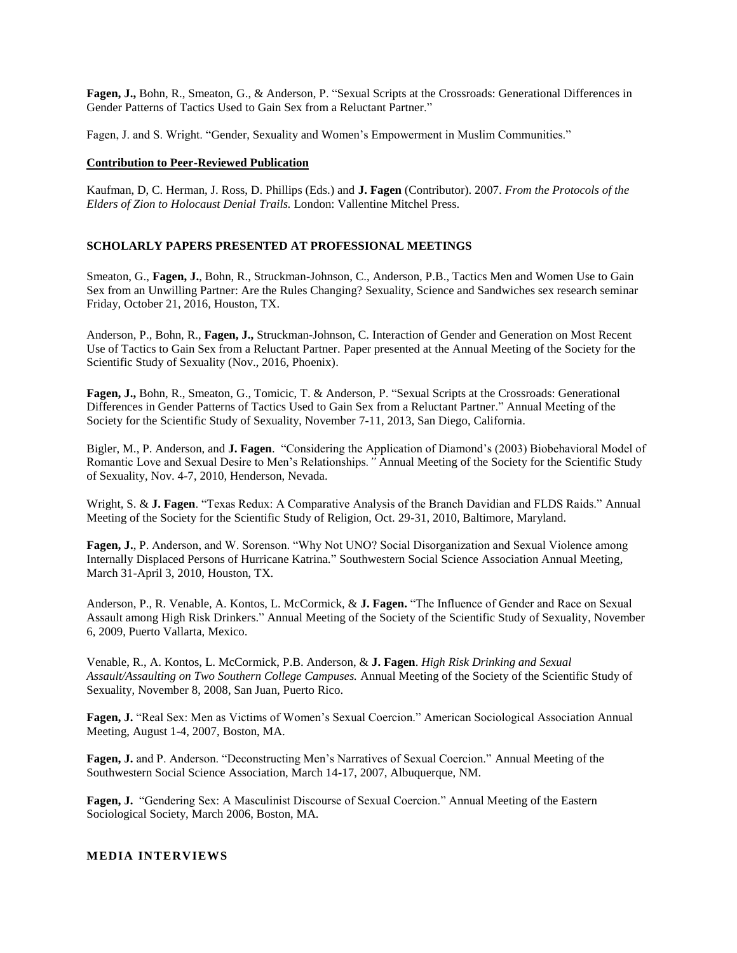**Fagen, J.,** Bohn, R., Smeaton, G., & Anderson, P. "Sexual Scripts at the Crossroads: Generational Differences in Gender Patterns of Tactics Used to Gain Sex from a Reluctant Partner."

Fagen, J. and S. Wright. "Gender, Sexuality and Women's Empowerment in Muslim Communities."

#### **Contribution to Peer-Reviewed Publication**

Kaufman, D, C. Herman, J. Ross, D. Phillips (Eds.) and **J. Fagen** (Contributor). 2007. *From the Protocols of the Elders of Zion to Holocaust Denial Trails.* London: Vallentine Mitchel Press.

#### **SCHOLARLY PAPERS PRESENTED AT PROFESSIONAL MEETINGS**

Smeaton, G., **Fagen, J.**, Bohn, R., Struckman-Johnson, C., Anderson, P.B., Tactics Men and Women Use to Gain Sex from an Unwilling Partner: Are the Rules Changing? Sexuality, Science and Sandwiches sex research seminar Friday, October 21, 2016, Houston, TX.

Anderson, P., Bohn, R., **Fagen, J.,** Struckman-Johnson, C. Interaction of Gender and Generation on Most Recent Use of Tactics to Gain Sex from a Reluctant Partner. Paper presented at the Annual Meeting of the Society for the Scientific Study of Sexuality (Nov., 2016, Phoenix).

**Fagen, J.,** Bohn, R., Smeaton, G., Tomicic, T. & Anderson, P. "Sexual Scripts at the Crossroads: Generational Differences in Gender Patterns of Tactics Used to Gain Sex from a Reluctant Partner." Annual Meeting of the Society for the Scientific Study of Sexuality, November 7-11, 2013, San Diego, California.

Bigler, M., P. Anderson, and **J. Fagen**. "Considering the Application of Diamond's (2003) Biobehavioral Model of Romantic Love and Sexual Desire to Men's Relationships*."* Annual Meeting of the Society for the Scientific Study of Sexuality, Nov. 4-7, 2010, Henderson, Nevada.

Wright, S. & **J. Fagen**. "Texas Redux: A Comparative Analysis of the Branch Davidian and FLDS Raids." Annual Meeting of the Society for the Scientific Study of Religion, Oct. 29-31, 2010, Baltimore, Maryland.

**Fagen, J.**, P. Anderson, and W. Sorenson. "Why Not UNO? Social Disorganization and Sexual Violence among Internally Displaced Persons of Hurricane Katrina*.*" Southwestern Social Science Association Annual Meeting, March 31-April 3, 2010, Houston, TX.

Anderson, P., R. Venable, A. Kontos, L. McCormick, & **J. Fagen.** "The Influence of Gender and Race on Sexual Assault among High Risk Drinkers." Annual Meeting of the Society of the Scientific Study of Sexuality, November 6, 2009, Puerto Vallarta, Mexico.

Venable, R., A. Kontos, L. McCormick, P.B. Anderson, & **J. Fagen**. *High Risk Drinking and Sexual*  Assault/Assaulting on Two Southern College Campuses. Annual Meeting of the Society of the Scientific Study of Sexuality, November 8, 2008, San Juan, Puerto Rico.

**Fagen, J.** "Real Sex: Men as Victims of Women's Sexual Coercion." American Sociological Association Annual Meeting, August 1-4, 2007, Boston, MA.

**Fagen, J.** and P. Anderson. "Deconstructing Men's Narratives of Sexual Coercion." Annual Meeting of the Southwestern Social Science Association, March 14-17, 2007, Albuquerque, NM.

**Fagen, J.** "Gendering Sex: A Masculinist Discourse of Sexual Coercion." Annual Meeting of the Eastern Sociological Society, March 2006, Boston, MA.

#### **MEDIA INTERVIEWS**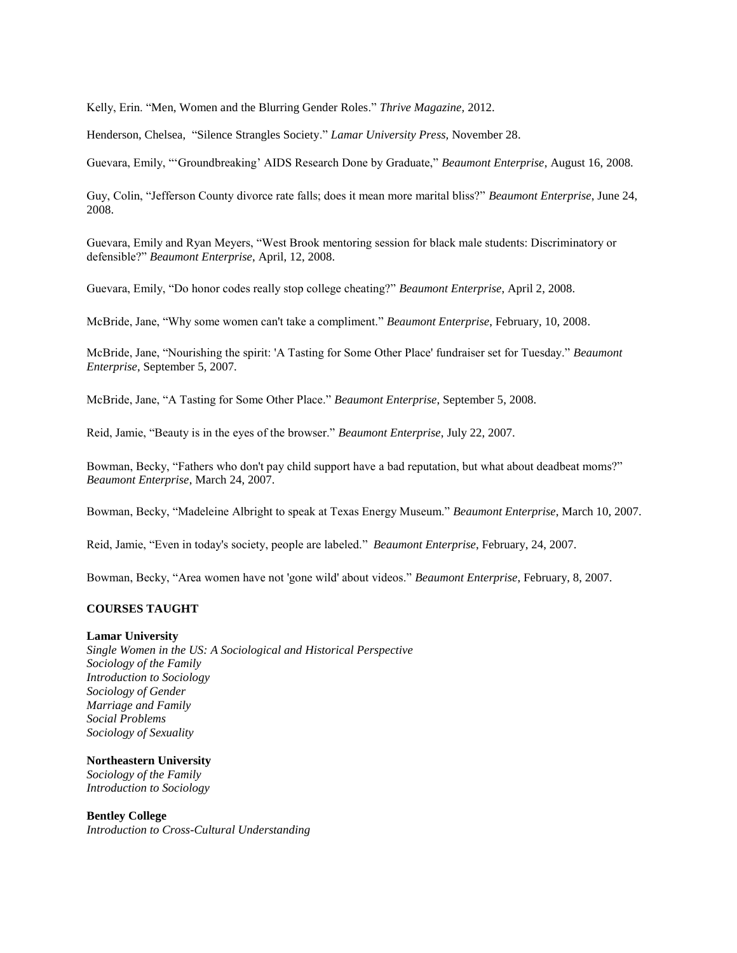Kelly, Erin. "Men, Women and the Blurring Gender Roles." *Thrive Magazine,* 2012.

Henderson, Chelsea,"Silence Strangles Society." *Lamar University Press,* November 28.

Guevara, Emily, "'Groundbreaking' AIDS Research Done by Graduate," *Beaumont Enterprise*, August 16, 2008.

Guy, Colin, "Jefferson County divorce rate falls; does it mean more marital bliss?" *Beaumont Enterprise*, June 24, 2008.

Guevara, Emily and Ryan Meyers, "West Brook mentoring session for black male students: Discriminatory or defensible?" *Beaumont Enterprise*, April, 12, 2008.

Guevara, Emily, "Do honor codes really stop college cheating?" *Beaumont Enterprise*, April 2, 2008.

McBride, Jane, "Why some women can't take a compliment." *Beaumont Enterprise*, February, 10, 2008.

McBride, Jane, "Nourishing the spirit: 'A Tasting for Some Other Place' fundraiser set for Tuesday." *Beaumont Enterprise*, September 5, 2007.

McBride, Jane, "A Tasting for Some Other Place." *Beaumont Enterprise*, September 5, 2008.

Reid, Jamie, "Beauty is in the eyes of the browser." *Beaumont Enterprise*, July 22, 2007.

Bowman, Becky, "Fathers who don't pay child support have a bad reputation, but what about deadbeat moms?" *Beaumont Enterprise*, March 24, 2007.

Bowman, Becky, "Madeleine Albright to speak at Texas Energy Museum." *Beaumont Enterprise*, March 10, 2007.

Reid, Jamie, "Even in today's society, people are labeled." *Beaumont Enterprise*, February, 24, 2007.

Bowman, Becky, "Area women have not 'gone wild' about videos." *Beaumont Enterprise*, February, 8, 2007.

## **COURSES TAUGHT**

#### **Lamar University**

*Single Women in the US: A Sociological and Historical Perspective Sociology of the Family Introduction to Sociology Sociology of Gender Marriage and Family Social Problems Sociology of Sexuality*

**Northeastern University**  *Sociology of the Family Introduction to Sociology*

**Bentley College** *Introduction to Cross-Cultural Understanding*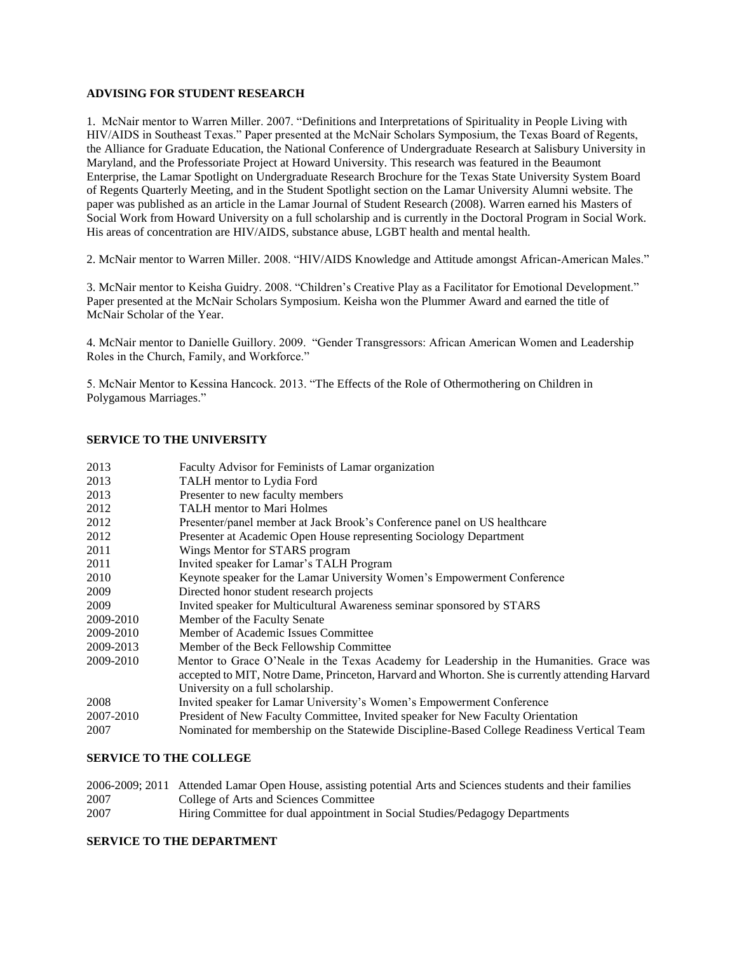#### **ADVISING FOR STUDENT RESEARCH**

1. McNair mentor to Warren Miller. 2007. "Definitions and Interpretations of Spirituality in People Living with HIV/AIDS in Southeast Texas." Paper presented at the McNair Scholars Symposium, the Texas Board of Regents, the Alliance for Graduate Education, the National Conference of Undergraduate Research at Salisbury University in Maryland, and the Professoriate Project at Howard University. This research was featured in the Beaumont Enterprise, the Lamar Spotlight on Undergraduate Research Brochure for the Texas State University System Board of Regents Quarterly Meeting, and in the Student Spotlight section on the Lamar University Alumni website. The paper was published as an article in the Lamar Journal of Student Research (2008). Warren earned his Masters of Social Work from Howard University on a full scholarship and is currently in the Doctoral Program in Social Work. His areas of concentration are HIV/AIDS, substance abuse, LGBT health and mental health.

2. McNair mentor to Warren Miller. 2008. "HIV/AIDS Knowledge and Attitude amongst African-American Males."

3. McNair mentor to Keisha Guidry. 2008. "Children's Creative Play as a Facilitator for Emotional Development." Paper presented at the McNair Scholars Symposium. Keisha won the Plummer Award and earned the title of McNair Scholar of the Year.

4. McNair mentor to Danielle Guillory. 2009. "Gender Transgressors: African American Women and Leadership Roles in the Church, Family, and Workforce."

5. McNair Mentor to Kessina Hancock. 2013. "The Effects of the Role of Othermothering on Children in Polygamous Marriages."

## **SERVICE TO THE UNIVERSITY**

| 2013      | Faculty Advisor for Feminists of Lamar organization                                             |
|-----------|-------------------------------------------------------------------------------------------------|
| 2013      | TALH mentor to Lydia Ford                                                                       |
| 2013      | Presenter to new faculty members                                                                |
| 2012      | <b>TALH</b> mentor to Mari Holmes                                                               |
| 2012      | Presenter/panel member at Jack Brook's Conference panel on US healthcare                        |
| 2012      | Presenter at Academic Open House representing Sociology Department                              |
| 2011      | Wings Mentor for STARS program                                                                  |
| 2011      | Invited speaker for Lamar's TALH Program                                                        |
| 2010      | Keynote speaker for the Lamar University Women's Empowerment Conference                         |
| 2009      | Directed honor student research projects                                                        |
| 2009      | Invited speaker for Multicultural Awareness seminar sponsored by STARS                          |
| 2009-2010 | Member of the Faculty Senate                                                                    |
| 2009-2010 | Member of Academic Issues Committee                                                             |
| 2009-2013 | Member of the Beck Fellowship Committee                                                         |
| 2009-2010 | Mentor to Grace O'Neale in the Texas Academy for Leadership in the Humanities. Grace was        |
|           | accepted to MIT, Notre Dame, Princeton, Harvard and Whorton. She is currently attending Harvard |
|           | University on a full scholarship.                                                               |
| 2008      | Invited speaker for Lamar University's Women's Empowerment Conference                           |
| 2007-2010 | President of New Faculty Committee, Invited speaker for New Faculty Orientation                 |
| 2007      | Nominated for membership on the Statewide Discipline-Based College Readiness Vertical Team      |

### **SERVICE TO THE COLLEGE**

|      | 2006-2009; 2011 Attended Lamar Open House, assisting potential Arts and Sciences students and their families |
|------|--------------------------------------------------------------------------------------------------------------|
| 2007 | College of Arts and Sciences Committee                                                                       |
| 2007 | Hiring Committee for dual appointment in Social Studies/Pedagogy Departments                                 |

## **SERVICE TO THE DEPARTMENT**